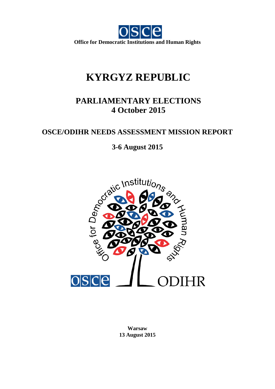

# **KYRGYZ REPUBLIC**

## **PARLIAMENTARY ELECTIONS 4 October 2015**

## **OSCE/ODIHR NEEDS ASSESSMENT MISSION REPORT**



**Warsaw 13 August 2015**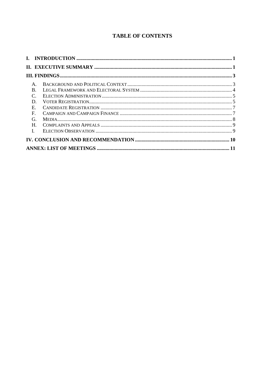## **TABLE OF CONTENTS**

|              | $\mathsf{A}$ . |  |  |
|--------------|----------------|--|--|
|              | R.             |  |  |
|              | $\mathcal{C}$  |  |  |
|              | D.             |  |  |
|              | $E_{\rm c}$    |  |  |
| $\mathbf{F}$ |                |  |  |
|              | G.             |  |  |
|              | H.             |  |  |
| $\mathbf{I}$ |                |  |  |
|              |                |  |  |
|              |                |  |  |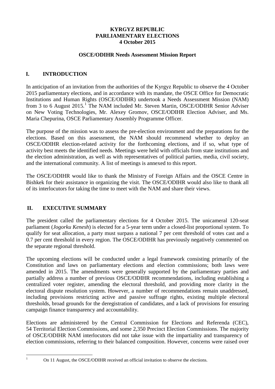### **KYRGYZ REPUBLIC PARLIAMENTARY ELECTIONS 4 October 2015**

### **OSCE/ODIHR Needs Assessment Mission Report**

### <span id="page-2-0"></span>**I. INTRODUCTION**

In anticipation of an invitation from the authorities of the Kyrgyz Republic to observe the 4 October 2015 parliamentary elections, and in accordance with its mandate, the OSCE Office for Democratic Institutions and Human Rights (OSCE/ODIHR) undertook a Needs Assessment Mission (NAM) from 3 to 6 August 20[1](#page-2-2)5.<sup>1</sup> The NAM included Mr. Steven Martin, OSCE/ODIHR Senior Adviser on New Voting Technologies, Mr. Alexey Gromov, OSCE/ODIHR Election Adviser, and Ms. Maria Chepurina, OSCE Parliamentary Assembly Programme Officer.

The purpose of the mission was to assess the pre-election environment and the preparations for the elections. Based on this assessment, the NAM should recommend whether to deploy an OSCE/ODIHR election-related activity for the forthcoming elections, and if so, what type of activity best meets the identified needs. Meetings were held with officials from state institutions and the election administration, as well as with representatives of political parties, media, civil society, and the international community. A list of meetings is annexed to this report.

The OSCE/ODIHR would like to thank the Ministry of Foreign Affairs and the OSCE Centre in Bishkek for their assistance in organizing the visit. The OSCE/ODIHR would also like to thank all of its interlocutors for taking the time to meet with the NAM and share their views.

### <span id="page-2-1"></span>**II. EXECUTIVE SUMMARY**

The president called the parliamentary elections for 4 October 2015. The unicameral 120-seat parliament (*Jogorku Kenesh*) is elected for a 5-year term under a closed-list proportional system. To qualify for seat allocation, a party must surpass a national 7 per cent threshold of votes cast and a 0.7 per cent threshold in every region. The OSCE/ODIHR has previously negatively commented on the separate regional threshold.

The upcoming elections will be conducted under a legal framework consisting primarily of the Constitution and laws on parliamentary elections and election commissions; both laws were amended in 2015. The amendments were generally supported by the parliamentary parties and partially address a number of previous OSCE/ODIHR recommendations, including establishing a centralized voter register, amending the electoral threshold, and providing more clarity in the electoral dispute resolution system. However, a number of recommendations remain unaddressed, including provisions restricting active and passive suffrage rights, existing multiple electoral thresholds, broad grounds for the deregistration of candidates, and a lack of provisions for ensuring campaign finance transparency and accountability.

Elections are administered by the Central Commission for Elections and Referenda (CEC), 54 Territorial Election Commissions, and some 2,350 Precinct Election Commissions. The majority of OSCE/ODIHR NAM interlocutors did not take issue with the impartiality and transparency of election commissions, referring to their balanced composition. However, concerns were raised over

<span id="page-2-2"></span>

<sup>&</sup>lt;sup>1</sup> On 11 August, the OSCE/ODIHR received an official invitation to observe the elections.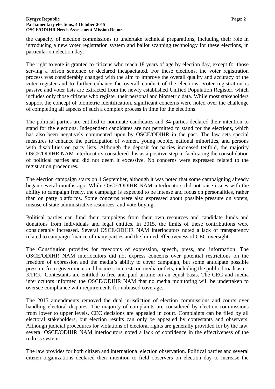the capacity of election commissions to undertake technical preparations, including their role in introducing a new voter registration system and ballot scanning technology for these elections, in particular on election day.

The right to vote is granted to citizens who reach 18 years of age by election day, except for those serving a prison sentence or declared incapacitated. For these elections, the voter registration process was considerably changed with the aim to improve the overall quality and accuracy of the voter register and to further enhance the overall conduct of the elections. Voter registration is passive and voter lists are extracted from the newly established Unified Population Register, which includes only those citizens who register their personal and biometric data. While most stakeholders support the concept of biometric identification, significant concerns were noted over the challenge of completing all aspects of such a complex process in time for the elections.

The political parties are entitled to nominate candidates and 34 parties declared their intention to stand for the elections. Independent candidates are not permitted to stand for the elections, which has also been negatively commented upon by OSCE/ODIHR in the past. The law sets special measures to enhance the participation of women, young people, national minorities, and persons with disabilities on party lists. Although the deposit for parties increased tenfold, the majority OSCE/ODIHR NAM interlocutors considered this as a positive step in facilitating the consolidation of political parties and did not deem it excessive. No concerns were expressed related to the registration procedures.

The election campaign starts on 4 September, although it was noted that some campaigning already began several months ago. While OSCE/ODIHR NAM interlocutors did not raise issues with the ability to campaign freely, the campaign is expected to be intense and focus on personalities, rather than on party platforms. Some concerns were also expressed about possible pressure on voters, misuse of state administrative resources, and vote-buying.

Political parties can fund their campaigns from their own resources and candidate funds and donations from individuals and legal entities. In 2015, the limits of these contributions were considerably increased. Several OSCE/ODIHR NAM interlocutors noted a lack of transparency related to campaign finance of many parties and the limited effectiveness of CEC oversight.

The Constitution provides for freedoms of expression, speech, press, and information. The OSCE/ODIHR NAM interlocutors did not express concerns over potential restrictions on the freedom of expression and the media's ability to cover campaign, but some anticipate possible pressure from government and business interests on media outlets, including the public broadcaster, KTRK. Contestants are entitled to free and paid airtime on an equal basis. The CEC and media interlocutors informed the OSCE/ODIHR NAM that no media monitoring will be undertaken to oversee compliance with requirements for unbiased coverage.

The 2015 amendments removed the dual jurisdiction of election commissions and courts over handling electoral disputes. The majority of complaints are considered by election commissions from lower to upper levels. CEC decisions are appealed in court. Complaints can be filed by all electoral stakeholders, but election results can only be appealed by contestants and observers. Although judicial procedures for violations of electoral rights are generally provided for by the law, several OSCE/ODIHR NAM interlocutors noted a lack of confidence in the effectiveness of the redress system.

The law provides for both citizen and international election observation. Political parties and several citizen organizations declared their intention to field observers on election day to increase the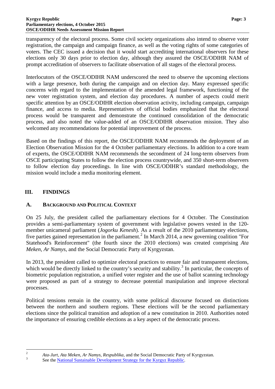transparency of the electoral process. Some civil society organizations also intend to observe voter registration, the campaign and campaign finance, as well as the voting rights of some categories of voters. The CEC issued a decision that it would start accrediting international observers for these elections only 30 days prior to election day, although they assured the OSCE/ODIHR NAM of prompt accreditation of observers to facilitate observation of all stages of the electoral process.

Interlocutors of the OSCE/ODIHR NAM underscored the need to observe the upcoming elections with a large presence, both during the campaign and on election day. Many expressed specific concerns with regard to the implementation of the amended legal framework, functioning of the new voter registration system, and election day procedures. A number of aspects could merit specific attention by an OSCE/ODIHR election observation activity, including campaign, campaign finance, and access to media. Representatives of official bodies emphasized that the electoral process would be transparent and demonstrate the continued consolidation of the democratic process, and also noted the value-added of an OSCE/ODIHR observation mission. They also welcomed any recommendations for potential improvement of the process.

Based on the findings of this report, the OSCE/ODIHR NAM recommends the deployment of an Election Observation Mission for the 4 October parliamentary elections. In addition to a core team of experts, the OSCE/ODIHR NAM recommends the secondment of 24 long-term observers from OSCE participating States to follow the election process countrywide, and 350 short-term observers to follow election day proceedings. In line with OSCE/ODIHR's standard methodology, the mission would include a media monitoring element.

### <span id="page-4-0"></span>**III. FINDINGS**

### <span id="page-4-1"></span>**A. BACKGROUND AND POLITICAL CONTEXT**

On 25 July, the president called the parliamentary elections for 4 October. The Constitution provides a semi-parliamentary system of government with legislative powers vested in the 120 member unicameral parliament (*Jogorku Kenesh*). As a result of the 2010 parliamentary elections, five parties gained representation in the parliament.<sup>[2](#page-4-2)</sup> In March 2014, a new governing coalition "For Statehood's Reinforcement" (the fourth since the 2010 elections) was created comprising *Ata Meken, Ar Namys,* and the Social Democratic Party of Kyrgyzstan.

In 2013, the president called to optimize electoral practices to ensure fair and transparent elections, which would be directly linked to the country's security and stability.<sup>[3](#page-4-3)</sup> In particular, the concepts of biometric population registration, a unified voter register and the use of ballot scanning technology were proposed as part of a strategy to decrease potential manipulation and improve electoral processes.

Political tensions remain in the country, with some political discourse focused on distinctions between the northern and southern regions. These elections will be the second parliamentary elections since the political transition and adoption of a new constitution in 2010. Authorities noted the importance of ensuring credible elections as a key aspect of the democratic process.

<span id="page-4-3"></span><span id="page-4-2"></span><sup>&</sup>lt;sup>2</sup> *Ata-Jurt*, *Ata Meken, Ar Namys, Respublika, and the Social Democratic Party of Kyrgyzstan.* See the [National Sustainable Development Strategy for the Kyrgyz Republic.](http://www.president.kg/files/docs/NSSD-final-version-eng-Feb4.doc)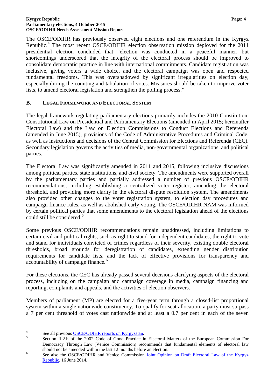The OSCE/ODIHR has previously observed eight elections and one referendum in the Kyrgyz Republic.<sup>[4](#page-5-1)</sup> The most recent OSCE/ODIHR election observation mission deployed for the 2011 presidential election concluded that "election was conducted in a peaceful manner, but shortcomings underscored that the integrity of the electoral process should be improved to consolidate democratic practice in line with international commitments. Candidate registration was inclusive, giving voters a wide choice, and the electoral campaign was open and respected fundamental freedoms. This was overshadowed by significant irregularities on election day, especially during the counting and tabulation of votes. Measures should be taken to improve voter lists, to amend electoral legislation and strengthen the polling process."

### <span id="page-5-0"></span>**B. LEGAL FRAMEWORK AND ELECTORAL SYSTEM**

The legal framework regulating parliamentary elections primarily includes the 2010 Constitution, Constitutional Law on Presidential and Parliamentary Elections (amended in April 2015; hereinafter Electoral Law) and the Law on Election Commissions to Conduct Elections and Referenda (amended in June 2015), provisions of the Code of Administrative Procedures and Criminal Code, as well as instructions and decisions of the Central Commission for Elections and Referenda (CEC). Secondary legislation governs the activities of media, non-governmental organizations, and political parties.

The Electoral Law was significantly amended in 2011 and 2015, following inclusive discussions among political parties, state institutions, and civil society. The amendments were supported overall by the parliamentary parties and partially addressed a number of previous OSCE/ODIHR recommendations, including establishing a centralized voter register, amending the electoral threshold, and providing more clarity in the electoral dispute resolution system. The amendments also provided other changes to the voter registration system, to election day procedures and campaign finance rules, as well as abolished early voting. The OSCE/ODIHR NAM was informed by certain political parties that some amendments to the electoral legislation ahead of the elections could still be considered.<sup>[5](#page-5-2)</sup>

Some previous OSCE/ODIHR recommendations remain unaddressed, including limitations to certain civil and political rights, such as right to stand for independent candidates, the right to vote and stand for individuals convicted of crimes regardless of their severity, existing double electoral thresholds, broad grounds for deregistration of candidates, extending gender distribution requirements for candidate lists, and the lack of effective provisions for transparency and accountability of campaign finance.<sup>[6](#page-5-3)</sup>

For these elections, the CEC has already passed several decisions clarifying aspects of the electoral process, including on the campaign and campaign coverage in media, campaign financing and reporting, complaints and appeals, and the activities of election observers.

Members of parliament (MP) are elected for a five-year term through a closed-list proportional system within a single nationwide constituency. To qualify for seat allocation, a party must surpass a 7 per cent threshold of votes cast nationwide and at least a 0.7 per cent in each of the seven

<span id="page-5-2"></span><span id="page-5-1"></span><sup>&</sup>lt;sup>4</sup> See all previous <u>OSCE/ODIHR reports on Kyrgyzstan</u>.<br>
<sup>5</sup> Section II.2.b of the 2002 Code of Good Practice in Electoral Matters of the European Commission For Democracy Through Law (Venice Commission) recommends that fundamental elements of electoral law should not be amended within the last 12 months before an election.<br>
<sup>6</sup> See also the OSCE/ODIHR and Venice Commission <u>Joint Opinion on Draft Electoral Law of the Kyrgyz</u>

<span id="page-5-3"></span>[Republic,](http://www.osce.org/odihr/119906) 16 June 2014.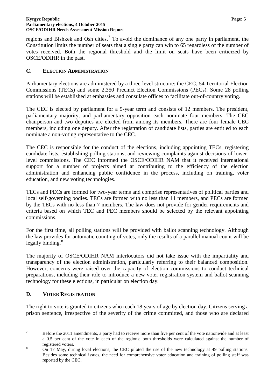regions and Bishkek and Osh cities.<sup>[7](#page-6-2)</sup> To avoid the dominance of any one party in parliament, the Constitution limits the number of seats that a single party can win to 65 regardless of the number of votes received. Both the regional threshold and the limit on seats have been criticized by OSCE/ODIHR in the past.

### <span id="page-6-0"></span>**C. ELECTION ADMINISTRATION**

Parliamentary elections are administered by a three-level structure: the CEC, 54 Territorial Election Commissions (TECs) and some 2,350 Precinct Election Commissions (PECs). Some 28 polling stations will be established at embassies and consulate offices to facilitate out-of-country voting.

The CEC is elected by parliament for a 5-year term and consists of 12 members. The president, parliamentary majority, and parliamentary opposition each nominate four members. The CEC chairperson and two deputies are elected from among its members. There are four female CEC members, including one deputy. After the registration of candidate lists, parties are entitled to each nominate a non-voting representative to the CEC.

The CEC is responsible for the conduct of the elections, including appointing TECs, registering candidate lists, establishing polling stations, and reviewing complaints against decisions of lowerlevel commissions. The CEC informed the OSCE/ODIHR NAM that it received international support for a number of projects aimed at contributing to the efficiency of the election administration and enhancing public confidence in the process, including on training, voter education, and new voting technologies.

TECs and PECs are formed for two-year terms and comprise representatives of political parties and local self-governing bodies. TECs are formed with no less than 11 members, and PECs are formed by the TECs with no less than 7 members. The law does not provide for gender requirements and criteria based on which TEC and PEC members should be selected by the relevant appointing commissions.

For the first time, all polling stations will be provided with ballot scanning technology. Although the law provides for automatic counting of votes, only the results of a parallel manual count will be legally binding.<sup>[8](#page-6-3)</sup>

The majority of OSCE/ODIHR NAM interlocutors did not take issue with the impartiality and transparency of the election administration, particularly referring to their balanced composition. However, concerns were raised over the capacity of election commissions to conduct technical preparations, including their role to introduce a new voter registration system and ballot scanning technology for these elections, in particular on election day.

### <span id="page-6-1"></span>**D. VOTER REGISTRATION**

The right to vote is granted to citizens who reach 18 years of age by election day. Citizens serving a prison sentence, irrespective of the severity of the crime committed, and those who are declared

<span id="page-6-2"></span><sup>&</sup>lt;sup>7</sup> Before the 2011 amendments, a party had to receive more than five per cent of the vote nationwide and at least a 0.5 per cent of the vote in each of the regions; both thresholds were calculated against the number of

<span id="page-6-3"></span>registered voters.<br><sup>8</sup> On 17 May, during local elections, the CEC piloted the use of the new technology at 49 polling stations. Besides some technical issues, the need for comprehensive voter education and training of polling staff was reported by the CEC.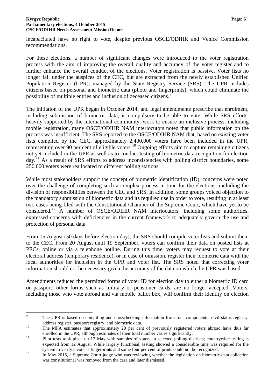incapacitated have no right to vote, despite previous OSCE/ODIHR and Venice Commission recommendations.

For these elections, a number of significant changes were introduced to the voter registration process with the aim of improving the overall quality and accuracy of the voter register and to further enhance the overall conduct of the elections. Voter registration is passive. Voter lists no longer fall under the auspices of the CEC, but are extracted from the newly established Unified Population Register (UPR), managed by the State Registry Service (SRS). The UPR includes citizens based on personal and biometric data (photo and fingerprints), which could eliminate the possibility of multiple entries and inclusion of deceased citizens.[9](#page-7-0)

The initiation of the UPR began in October 2014, and legal amendments prescribe that enrolment, including submission of biometric data, is compulsory to be able to vote. While SRS efforts, heavily supported by the international community, work to ensure an inclusive process, including mobile registration, many OSCE/ODIHR NAM interlocutors noted that public information on the process was insufficient. The SRS reported to the OSCE/ODIHR NAM that, based on existing voter lists complied by the CEC, approximately 2,400,000 voters have been included in the UPR, representing over 90 per cent of eligible voters.<sup>[10](#page-7-1)</sup> Ongoing efforts aim to capture remaining citizens not yet included in the UPR as well as to conduct testing of biometric data recognition for election day.<sup>[11](#page-7-2)</sup> As a result of SRS efforts to address inconsistencies with polling district boundaries, some 250,000 voters were reallocated to different polling stations.

While most stakeholders support the concept of biometric identification (ID), concerns were noted over the challenge of completing such a complex process in time for the elections, including the division of responsibilities between the CEC and SRS. In addition, some groups voiced objection to the mandatory submission of biometric data and its required use in order to vote, resulting in at least two cases being filed with the Constitutional Chamber of the Supreme Court, which have yet to be considered.[12](#page-7-3) A number of OSCE/ODIHR NAM interlocutors, including some authorities, expressed concerns with deficiencies in the current framework to adequately govern the use and protection of personal data.

From 15 August (50 days before election day), the SRS should compile voter lists and submit them to the CEC. From 20 August until 19 September, voters can confirm their data on posted lists at PECs, online or via a telephone hotline. During this time, voters may request to vote at their electoral address (temporary residence), or in case of omission, register their biometric data with the local authorities for inclusion in the UPR and voter list. The SRS noted that correcting voter information should not be necessary given the accuracy of the data on which the UPR was based.

Amendments reduced the permitted forms of voter ID for election day to either a biometric ID card or passport; other forms such as military or pensioner cards, are no longer accepted. Voters, including those who vote abroad and via mobile ballot box, will confirm their identity on election

<span id="page-7-0"></span><sup>&</sup>lt;sup>9</sup> The UPR is based on compiling and crosschecking information from four components: civil status registry, address register, passport registry, and biometric data.<br>
<sup>10</sup> The MFA estimates that approximately 20 per cent of previously registered voters abroad have thus far

<span id="page-7-1"></span>

<span id="page-7-2"></span>enrolled in the UPR, although estimates of their total number varies significantly.<br><sup>11</sup> Pilot tests took place on 17 May with samples of voters in selected polling districts; countrywide testing is expected from 12 August. While largely functional, testing showed a considerable time was required for the

<span id="page-7-3"></span>system to verify a voter's fingerprints and some four per cent of prints could not be recognized.<br>In May 2015, a Supreme Court judge who was reviewing whether the legislation on biometric data collection was constitutional was removed from the case and later dismissed.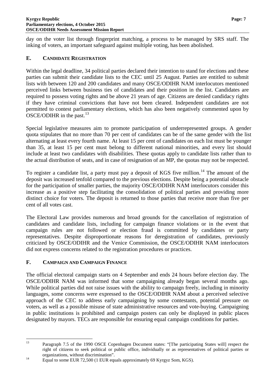day on the voter list through fingerprint matching, a process to be managed by SRS staff. The inking of voters, an important safeguard against multiple voting, has been abolished.

### <span id="page-8-0"></span>**E. CANDIDATE REGISTRATION**

Within the legal deadline, 34 political parties declared their intention to stand for elections and these parties can submit their candidate lists to the CEC until 25 August. Parties are entitled to submit lists with between 120 and 200 candidates and many OSCE/ODIHR NAM interlocutors mentioned perceived links between business ties of candidates and their position in the list. Candidates are required to possess voting rights and be above 21 years of age. Citizens are denied candidacy rights if they have criminal convictions that have not been cleared. Independent candidates are not permitted to contest parliamentary elections, which has also been negatively commented upon by OSCE/ODIHR in the past.<sup>[13](#page-8-2)</sup>

Special legislative measures aim to promote participation of underrepresented groups. A gender quota stipulates that no more than 70 per cent of candidates can be of the same gender with the list alternating at least every fourth name. At least 15 per cent of candidates on each list must be younger than 35, at least 15 per cent must belong to different national minorities, and every list should include at least two candidates with disabilities. These quotas apply to candidate lists rather than to the actual distribution of seats, and in case of resignation of an MP, the quotas may not be respected.

To register a candidate list, a party must pay a deposit of KGS five million.<sup>[14](#page-8-3)</sup> The amount of the deposit was increased tenfold compared to the previous elections. Despite being a potential obstacle for the participation of smaller parties, the majority OSCE/ODIHR NAM interlocutors consider this increase as a positive step facilitating the consolidation of political parties and providing more distinct choice for voters. The deposit is returned to those parties that receive more than five per cent of all votes cast.

The Electoral Law provides numerous and broad grounds for the cancellation of registration of candidates and candidate lists, including for campaign finance violations or in the event that campaign rules are not followed or election fraud is committed by candidates or party representatives. Despite disproportionate reasons for deregistration of candidates, previously criticized by OSCE/ODIHR and the Venice Commission, the OSCE/ODIHR NAM interlocutors did not express concerns related to the registration procedures or practices.

### <span id="page-8-1"></span>**F. CAMPAIGN AND CAMPAIGN FINANCE**

The official electoral campaign starts on 4 September and ends 24 hours before election day. The OSCE/ODIHR NAM was informed that some campaigning already began several months ago. While political parties did not raise issues with the ability to campaign freely, including in minority languages, some concerns were expressed to the OSCE/ODIHR NAM about a perceived selective approach of the CEC to address early campaigning by some contestants, potential pressure on voters, as well as a possible misuse of state administrative resources and vote-buying. Campaigning in public institutions is prohibited and campaign posters can only be displayed in public places designated by mayors. TECs are responsible for ensuring equal campaign conditions for parties.

<span id="page-8-2"></span><sup>&</sup>lt;sup>13</sup> Paragraph 7.5 of the 1990 OSCE Copenhagen Document states: "[The participating States will] respect the right of citizens to seek political or public office, individually or as representatives of political parties or organizations, without discrimination".<br>
14 Equal to some EUR 72,500 (1 EUR equals approximately 69 Kyrgyz Som, KGS).

<span id="page-8-3"></span>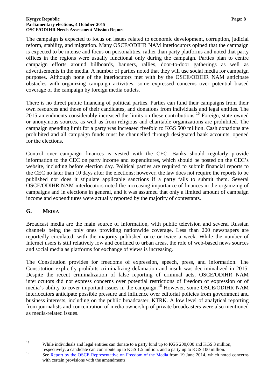#### **Kyrgyz Republic Page: 8 Parliamentary elections, 4 October 2015 OSCE/ODIHR Needs Assessment Mission Report**

The campaign is expected to focus on issues related to economic development, corruption, judicial reform, stability, and migration. Many OSCE/ODIHR NAM interlocutors opined that the campaign is expected to be intense and focus on personalities, rather than party platforms and noted that party offices in the regions were usually functional only during the campaign. Parties plan to centre campaign efforts around billboards, banners, rallies, door-to-door gatherings as well as advertisements in the media. A number of parties noted that they will use social media for campaign purposes. Although none of the interlocutors met with by the OSCE/ODIHR NAM anticipate obstacles with organizing campaign activities, some expressed concerns over potential biased coverage of the campaign by foreign media outlets.

There is no direct public financing of political parties. Parties can fund their campaigns from their own resources and those of their candidates, and donations from individuals and legal entities. The 20[15](#page-9-1) amendments considerably increased the limits on these contributions.<sup>15</sup> Foreign, state-owned or anonymous sources, as well as from religious and charitable organizations are prohibited. The campaign spending limit for a party was increased fivefold to KGS 500 million. Cash donations are prohibited and all campaign funds must be channelled through designated bank accounts, opened for the elections.

Control over campaign finances is vested with the CEC. Banks should regularly provide information to the CEC on party income and expenditures, which should be posted on the CEC's website, including before election day. Political parties are required to submit financial reports to the CEC no later than 10 days after the elections; however, the law does not require the reports to be published nor does it stipulate applicable sanctions if a party fails to submit them. Several OSCE/ODIHR NAM interlocutors noted the increasing importance of finances in the organizing of campaigns and in elections in general, and it was assumed that only a limited amount of campaign income and expenditures were actually reported by the majority of contestants.

### <span id="page-9-0"></span>**G. MEDIA**

Broadcast media are the main source of information, with public television and several Russian channels being the only ones providing nationwide coverage. Less than 200 newspapers are reportedly circulated, with the majority published once or twice a week. While the number of Internet users is still relatively low and confined to urban areas, the role of web-based news sources and social media as platforms for exchange of views is increasing.

The Constitution provides for freedoms of expression, speech, press, and information. The Constitution explicitly prohibits criminalizing defamation and insult was decriminalized in 2015. Despite the recent criminalization of false reporting of criminal acts, OSCE/ODIHR NAM interlocutors did not express concerns over potential restrictions of freedom of expression or of media's ability to cover important issues in the campaign.<sup>[16](#page-9-2)</sup> However, some OSCE/ODIHR NAM interlocutors anticipate possible pressure and influence over editorial policies from government and business interests, including on the public broadcaster, KTRK. A low level of analytical reporting from journalists and concentration of media ownership of private broadcasters were also mentioned as media-related issues.

<span id="page-9-1"></span><sup>&</sup>lt;sup>15</sup> While individuals and legal entities can donate to a party fund up to KGS 200,000 and KGS 3 million,

<span id="page-9-2"></span>respectively, a candidate can contribute up to KGS 1.5 million, and a party up to KGS 100 million.<br><sup>16</sup> See <u>Report by the OSCE Representative on Freedom of the Media</u> from 19 June 2014, which noted concerns with certain provisions with the amendments.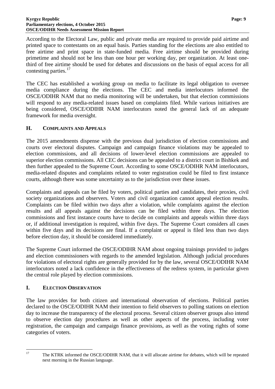#### **Kyrgyz Republic Page: 9 Parliamentary elections, 4 October 2015 OSCE/ODIHR Needs Assessment Mission Report**

According to the Electoral Law, public and private media are required to provide paid airtime and printed space to contestants on an equal basis. Parties standing for the elections are also entitled to free airtime and print space in state-funded media. Free airtime should be provided during primetime and should not be less than one hour per working day, per organization. At least onethird of free airtime should be used for debates and discussions on the basis of equal access for all contesting parties.<sup>[17](#page-10-2)</sup>

The CEC has established a working group on media to facilitate its legal obligation to oversee media compliance during the elections. The CEC and media interlocutors informed the OSCE/ODIHR NAM that no media monitoring will be undertaken, but that election commissions will respond to any media-related issues based on complaints filed. While various initiatives are being considered, OSCE/ODIHR NAM interlocutors noted the general lack of an adequate framework for media oversight.

### <span id="page-10-0"></span>**H. COMPLAINTS AND APPEALS**

The 2015 amendments dispense with the previous dual jurisdiction of election commissions and courts over electoral disputes. Campaign and campaign finance violations may be appealed to election commissions, and all decisions of lower-level election commissions are appealed to superior election commissions. All CEC decisions can be appealed to a district court in Bishkek and then further appealed to the Supreme Court. According to some OSCE/ODIHR NAM interlocutors, media-related disputes and complaints related to voter registration could be filed to first instance courts, although there was some uncertainty as to the jurisdiction over these issues.

Complaints and appeals can be filed by voters, political parties and candidates, their proxies, civil society organizations and observers. Voters and civil organization cannot appeal election results. Complaints can be filed within two days after a violation, while complaints against the election results and all appeals against the decisions can be filed within three days. The election commissions and first instance courts have to decide on complaints and appeals within three days or, if additional investigation is required, within five days. The Supreme Court considers all cases within five days and its decisions are final. If a complaint or appeal is filed less than two days before election day, it should be considered immediately.

The Supreme Court informed the OSCE/ODIHR NAM about ongoing trainings provided to judges and election commissioners with regards to the amended legislation. Although judicial procedures for violations of electoral rights are generally provided for by the law, several OSCE/ODIHR NAM interlocutors noted a lack confidence in the effectiveness of the redress system, in particular given the central role played by election commissions.

### <span id="page-10-1"></span>**I. ELECTION OBSERVATION**

The law provides for both citizen and international observation of elections. Political parties declared to the OSCE/ODIHR NAM their intention to field observers to polling stations on election day to increase the transparency of the electoral process. Several citizen observer groups also intend to observe election day procedures as well as other aspects of the process, including voter registration, the campaign and campaign finance provisions, as well as the voting rights of some categories of voters.

<span id="page-10-2"></span><sup>&</sup>lt;sup>17</sup> The KTRK informed the OSCE/ODIHR NAM, that it will allocate airtime for debates, which will be repeated next morning in the Russian language.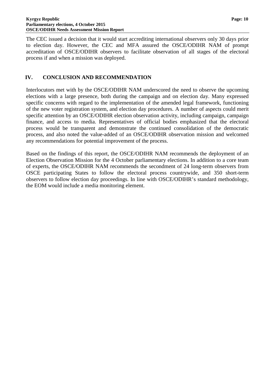The CEC issued a decision that it would start accrediting international observers only 30 days prior to election day. However, the CEC and MFA assured the OSCE/ODIHR NAM of prompt accreditation of OSCE/ODIHR observers to facilitate observation of all stages of the electoral process if and when a mission was deployed.

### <span id="page-11-0"></span>**IV. CONCLUSION AND RECOMMENDATION**

Interlocutors met with by the OSCE/ODIHR NAM underscored the need to observe the upcoming elections with a large presence, both during the campaign and on election day. Many expressed specific concerns with regard to the implementation of the amended legal framework, functioning of the new voter registration system, and election day procedures. A number of aspects could merit specific attention by an OSCE/ODIHR election observation activity, including campaign, campaign finance, and access to media. Representatives of official bodies emphasized that the electoral process would be transparent and demonstrate the continued consolidation of the democratic process, and also noted the value-added of an OSCE/ODIHR observation mission and welcomed any recommendations for potential improvement of the process.

Based on the findings of this report, the OSCE/ODIHR NAM recommends the deployment of an Election Observation Mission for the 4 October parliamentary elections. In addition to a core team of experts, the OSCE/ODIHR NAM recommends the secondment of 24 long-term observers from OSCE participating States to follow the electoral process countrywide, and 350 short-term observers to follow election day proceedings. In line with OSCE/ODIHR's standard methodology, the EOM would include a media monitoring element.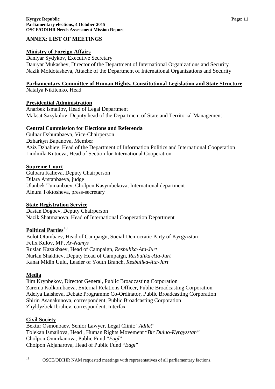### <span id="page-12-0"></span>**ANNEX: LIST OF MEETINGS**

### **Ministry of Foreign Affairs**

Daniyar Sydykov, Executive Secretary Daniyar Mukashev, Director of the Department of International Organizations and Security Nazik Moldotasheva, Attaché of the Department of International Organizations and Security

## **Parliamentary Committee of Human Rights, Constitutional Legislation and State Structure**

Natalya Nikitenko, Head

### **Presidential Administration**

Anarbek Ismailov, Head of Legal Department Maksat Sazykulov, Deputy head of the Department of State and Territorial Management

### **Central Commission for Elections and Referenda**

Gulnar Dzhurabaeva, Vice-Chairperson Dzharkyn Bapanova, Member Aziz Dzhabiev, Head of the Department of Information Politics and International Cooperation Liudmila Kutueva, Head of Section for International Cooperation

### **Supreme Court**

Gulbara Kalieva, Deputy Chairperson Dilara Arstanbaeva, judge Ulanbek Tumanbaev, Cholpon Kasymbekova, International department Ainura Toktosheva, press-secretary

### **State Registration Service**

Dastan Dogoev, Deputy Chairperson Nazik Shatmanova, Head of International Cooperation Department

### **Political Parties**<sup>[18](#page-12-1)</sup>

Bolot Otumbaev, Head of Campaign, Social-Democratic Party of Kyrgyzstan Felix Kulov, MP, *Ar-Namys* Ruslan Kazakbaev, Head of Campaign, *Resbulika-Ata-Jurt* Nurlan Shakhiev, Deputy Head of Campaign, *Resbulika-Ata-Jurt* Kanat Midin Uulu, Leader of Youth Branch, *Resbulika-Ata-Jurt*

### **Media**

Ilim Krypbekov, Director General, Public Broadcasting Corporation Zarema Kolkombaeva, External Relations Officer, Public Broadcasting Corporation Adelya Laisheva, Debate Programme Co-Ordinator, Public Broadcasting Corporation Shirin Asanakunova, correspondent, Public Broadcasting Corporation Zhyldyzbek Ibraliev, correspondent, Interfax

### **Civil Society**

Bektur Osmonbaev, Senior Lawyer, Legal Clinic "*Adilet*" Tolekan Ismailova, Head , Human Rights Movement "*Bir Duino-Kyrgyzstan"* Cholpon Omurkanova, Public Fund "*Eagl*" Cholpon Abjanarova, Head of Public Fund "*Eagl*"

<span id="page-12-1"></span><sup>&</sup>lt;sup>18</sup> OSCE/ODIHR NAM requested meetings with representatives of all parliamentary factions.